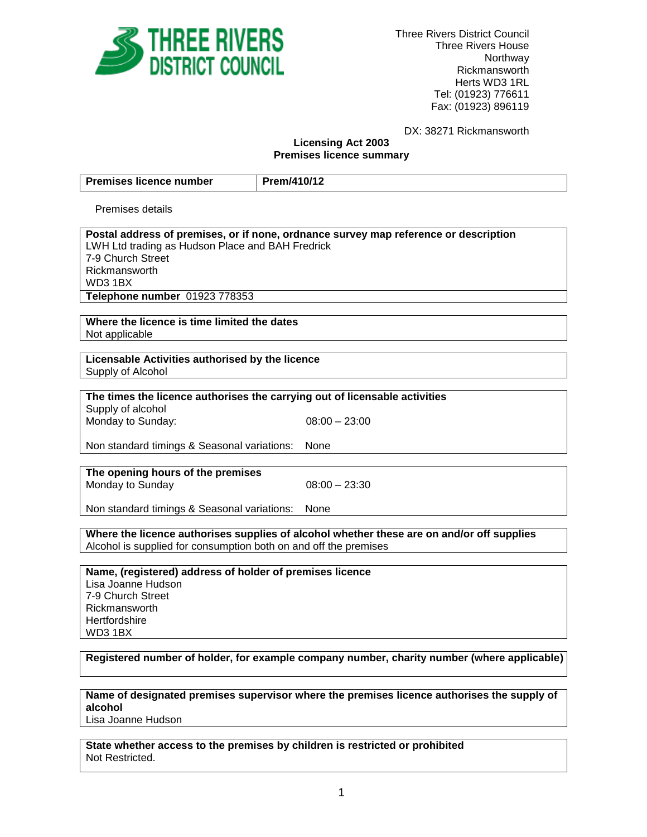

Three Rivers District Council Three Rivers House Northway Rickmansworth Herts WD3 1RL Tel: (01923) 776611 Fax: (01923) 896119

DX: 38271 Rickmansworth

#### **Licensing Act 2003 Premises licence summary**

| <b>Premises licence number</b>                                                       | Prem/410/12                                                                |  |
|--------------------------------------------------------------------------------------|----------------------------------------------------------------------------|--|
| Premises details                                                                     |                                                                            |  |
|                                                                                      |                                                                            |  |
| Postal address of premises, or if none, ordnance survey map reference or description |                                                                            |  |
| LWH Ltd trading as Hudson Place and BAH Fredrick                                     |                                                                            |  |
| 7-9 Church Street                                                                    |                                                                            |  |
| Rickmansworth                                                                        |                                                                            |  |
| WD3 1BX                                                                              |                                                                            |  |
| Telephone number 01923 778353                                                        |                                                                            |  |
|                                                                                      |                                                                            |  |
| Where the licence is time limited the dates                                          |                                                                            |  |
| Not applicable                                                                       |                                                                            |  |
| Licensable Activities authorised by the licence                                      |                                                                            |  |
| Supply of Alcohol                                                                    |                                                                            |  |
|                                                                                      |                                                                            |  |
|                                                                                      | The times the licence authorises the carrying out of licensable activities |  |
| Supply of alcohol                                                                    |                                                                            |  |
| Monday to Sunday:                                                                    | $08:00 - 23:00$                                                            |  |
|                                                                                      |                                                                            |  |
| Non standard timings & Seasonal variations:                                          | None                                                                       |  |
|                                                                                      |                                                                            |  |
| The opening hours of the premises                                                    | $08:00 - 23:30$                                                            |  |
| Monday to Sunday                                                                     |                                                                            |  |

Non standard timings & Seasonal variations: None

**Where the licence authorises supplies of alcohol whether these are on and/or off supplies** Alcohol is supplied for consumption both on and off the premises

**Name, (registered) address of holder of premises licence** Lisa Joanne Hudson 7-9 Church Street Rickmansworth **Hertfordshire** WD3 1BX

# **Registered number of holder, for example company number, charity number (where applicable)**

**Name of designated premises supervisor where the premises licence authorises the supply of alcohol**

Lisa Joanne Hudson

**State whether access to the premises by children is restricted or prohibited** Not Restricted.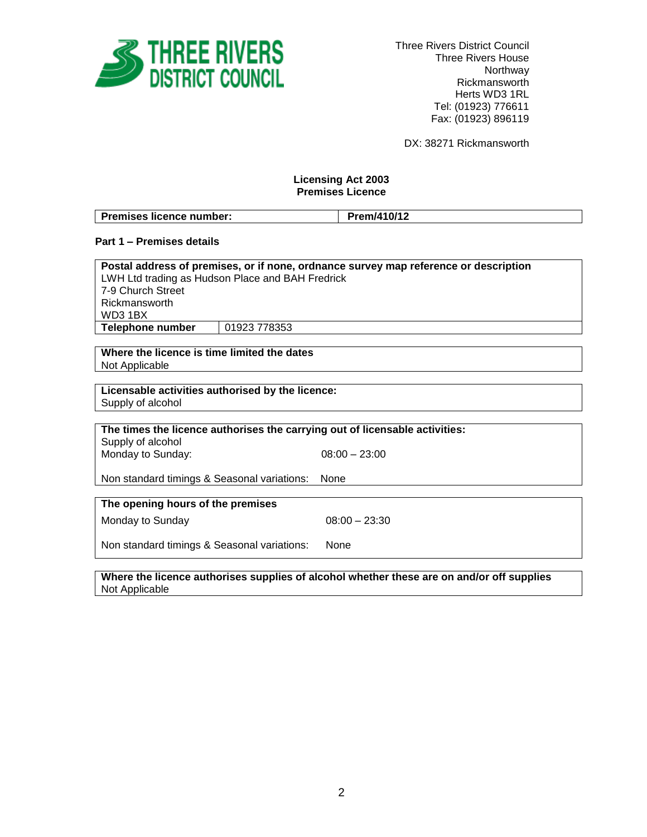

Three Rivers District Council Three Rivers House Northway Rickmansworth Herts WD3 1RL Tel: (01923) 776611 Fax: (01923) 896119

DX: 38271 Rickmansworth

# **Licensing Act 2003 Premises Licence**

| <b>Premises licence number:</b> | Prem/410/12 |
|---------------------------------|-------------|

## **Part 1 – Premises details**

| Postal address of premises, or if none, ordnance survey map reference or description |              |  |
|--------------------------------------------------------------------------------------|--------------|--|
| LWH Ltd trading as Hudson Place and BAH Fredrick                                     |              |  |
| 7-9 Church Street                                                                    |              |  |
| Rickmansworth                                                                        |              |  |
| WD3 1BX                                                                              |              |  |
| Telephone number                                                                     | 01923 778353 |  |

**Where the licence is time limited the dates** Not Applicable

**Licensable activities authorised by the licence:** Supply of alcohol

**The times the licence authorises the carrying out of licensable activities:** Supply of alcohol

Monday to Sunday: 08:00 – 23:00

Non standard timings & Seasonal variations: None

**The opening hours of the premises** Monday to Sunday 08:00 – 23:30

Non standard timings & Seasonal variations: None

**Where the licence authorises supplies of alcohol whether these are on and/or off supplies** Not Applicable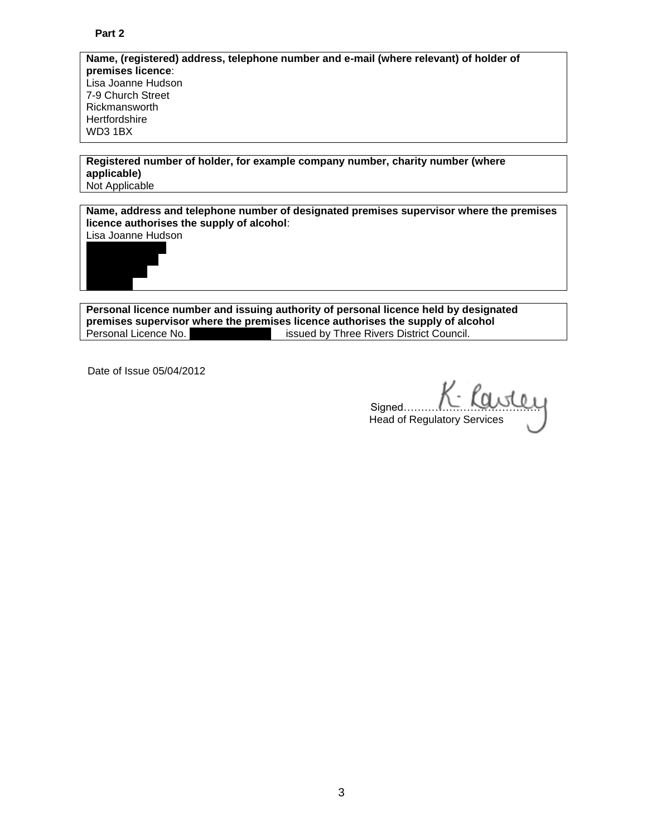**Name, (registered) address, telephone number and e-mail (where relevant) of holder of premises licence**: Lisa Joanne Hudson 7-9 Church Street Rickmansworth **Hertfordshire** WD3 1BX

**Registered number of holder, for example company number, charity number (where applicable)** Not Applicable

**Name, address and telephone number of designated premises supervisor where the premises licence authorises the supply of alcohol**:



**Personal licence number and issuing authority of personal licence held by designated premises supervisor where the premises licence authorises the supply of alcohol** Personal Licence No. 1970. 1970 issued by Three Rivers District Council.

Date of Issue 05/04/2012

Signed… Head of Regulatory Services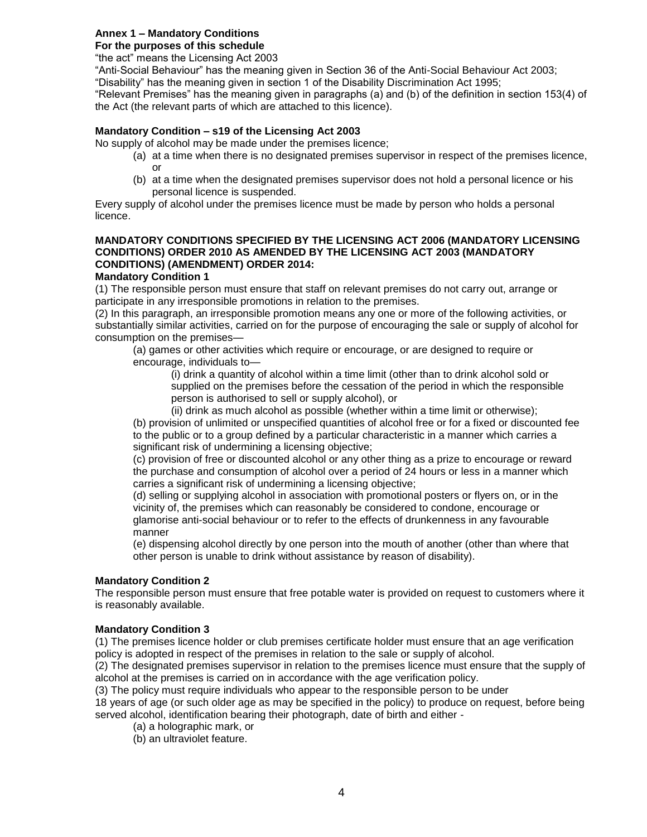# **Annex 1 – Mandatory Conditions**

# **For the purposes of this schedule**

"the act" means the Licensing Act 2003

"Anti-Social Behaviour" has the meaning given in Section 36 of the Anti-Social Behaviour Act 2003;

"Disability" has the meaning given in section 1 of the Disability Discrimination Act 1995;

"Relevant Premises" has the meaning given in paragraphs (a) and (b) of the definition in section 153(4) of the Act (the relevant parts of which are attached to this licence).

## **Mandatory Condition – s19 of the Licensing Act 2003**

No supply of alcohol may be made under the premises licence;

- (a) at a time when there is no designated premises supervisor in respect of the premises licence, or
- (b) at a time when the designated premises supervisor does not hold a personal licence or his personal licence is suspended.

Every supply of alcohol under the premises licence must be made by person who holds a personal licence.

## **MANDATORY CONDITIONS SPECIFIED BY THE LICENSING ACT 2006 (MANDATORY LICENSING CONDITIONS) ORDER 2010 AS AMENDED BY THE LICENSING ACT 2003 (MANDATORY CONDITIONS) (AMENDMENT) ORDER 2014:**

#### **Mandatory Condition 1**

(1) The responsible person must ensure that staff on relevant premises do not carry out, arrange or participate in any irresponsible promotions in relation to the premises.

(2) In this paragraph, an irresponsible promotion means any one or more of the following activities, or substantially similar activities, carried on for the purpose of encouraging the sale or supply of alcohol for consumption on the premises—

(a) games or other activities which require or encourage, or are designed to require or encourage, individuals to—

(i) drink a quantity of alcohol within a time limit (other than to drink alcohol sold or supplied on the premises before the cessation of the period in which the responsible person is authorised to sell or supply alcohol), or

(ii) drink as much alcohol as possible (whether within a time limit or otherwise);

(b) provision of unlimited or unspecified quantities of alcohol free or for a fixed or discounted fee to the public or to a group defined by a particular characteristic in a manner which carries a significant risk of undermining a licensing objective;

(c) provision of free or discounted alcohol or any other thing as a prize to encourage or reward the purchase and consumption of alcohol over a period of 24 hours or less in a manner which carries a significant risk of undermining a licensing objective;

(d) selling or supplying alcohol in association with promotional posters or flyers on, or in the vicinity of, the premises which can reasonably be considered to condone, encourage or glamorise anti-social behaviour or to refer to the effects of drunkenness in any favourable manner

(e) dispensing alcohol directly by one person into the mouth of another (other than where that other person is unable to drink without assistance by reason of disability).

#### **Mandatory Condition 2**

The responsible person must ensure that free potable water is provided on request to customers where it is reasonably available.

#### **Mandatory Condition 3**

(1) The premises licence holder or club premises certificate holder must ensure that an age verification policy is adopted in respect of the premises in relation to the sale or supply of alcohol.

(2) The designated premises supervisor in relation to the premises licence must ensure that the supply of alcohol at the premises is carried on in accordance with the age verification policy.

(3) The policy must require individuals who appear to the responsible person to be under

18 years of age (or such older age as may be specified in the policy) to produce on request, before being served alcohol, identification bearing their photograph, date of birth and either -

- (a) a holographic mark, or
- (b) an ultraviolet feature.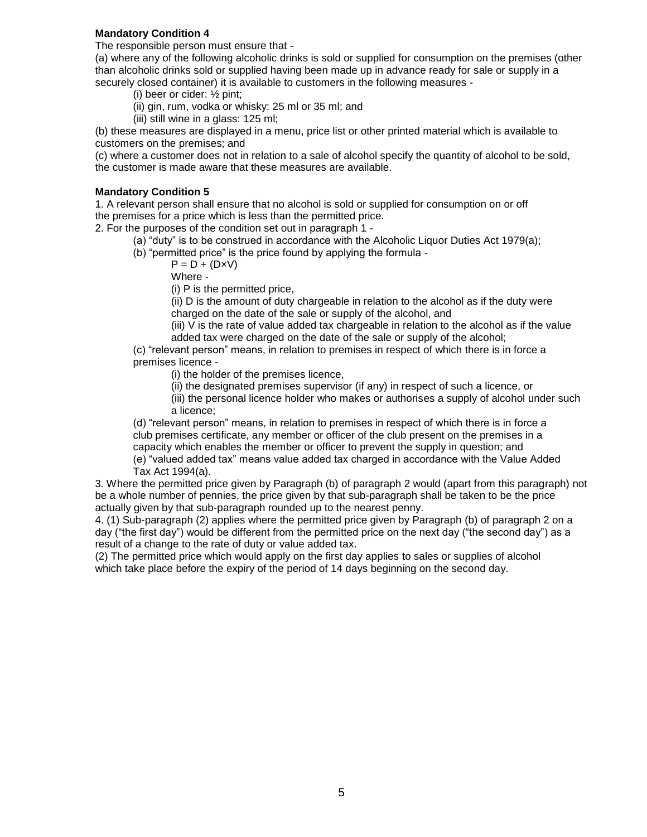## **Mandatory Condition 4**

The responsible person must ensure that -

(a) where any of the following alcoholic drinks is sold or supplied for consumption on the premises (other than alcoholic drinks sold or supplied having been made up in advance ready for sale or supply in a securely closed container) it is available to customers in the following measures -

- (i) beer or cider: ½ pint;
- (ii) gin, rum, vodka or whisky: 25 ml or 35 ml; and
- (iii) still wine in a glass: 125 ml;

(b) these measures are displayed in a menu, price list or other printed material which is available to customers on the premises; and

(c) where a customer does not in relation to a sale of alcohol specify the quantity of alcohol to be sold, the customer is made aware that these measures are available.

## **Mandatory Condition 5**

1. A relevant person shall ensure that no alcohol is sold or supplied for consumption on or off the premises for a price which is less than the permitted price.

2. For the purposes of the condition set out in paragraph 1 -

- (a) "duty" is to be construed in accordance with the Alcoholic Liquor Duties Act 1979(a);
	- (b) "permitted price" is the price found by applying the formula
		- $P = D + (D \times V)$

Where -

(i) P is the permitted price,

(ii) D is the amount of duty chargeable in relation to the alcohol as if the duty were charged on the date of the sale or supply of the alcohol, and

(iii) V is the rate of value added tax chargeable in relation to the alcohol as if the value added tax were charged on the date of the sale or supply of the alcohol;

(c) "relevant person" means, in relation to premises in respect of which there is in force a premises licence -

(i) the holder of the premises licence,

(ii) the designated premises supervisor (if any) in respect of such a licence, or

(iii) the personal licence holder who makes or authorises a supply of alcohol under such a licence;

(d) "relevant person" means, in relation to premises in respect of which there is in force a club premises certificate, any member or officer of the club present on the premises in a capacity which enables the member or officer to prevent the supply in question; and (e) "valued added tax" means value added tax charged in accordance with the Value Added Tax Act 1994(a).

3. Where the permitted price given by Paragraph (b) of paragraph 2 would (apart from this paragraph) not be a whole number of pennies, the price given by that sub-paragraph shall be taken to be the price actually given by that sub-paragraph rounded up to the nearest penny.

4. (1) Sub-paragraph (2) applies where the permitted price given by Paragraph (b) of paragraph 2 on a day ("the first day") would be different from the permitted price on the next day ("the second day") as a result of a change to the rate of duty or value added tax.

(2) The permitted price which would apply on the first day applies to sales or supplies of alcohol which take place before the expiry of the period of 14 days beginning on the second day.